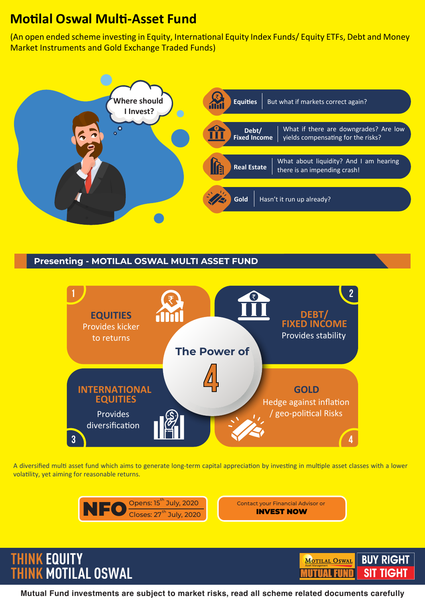# **Mo�lal Oswal Mul�-Asset Fund**

(An open ended scheme investing in Equity, International Equity Index Funds/ Equity ETFs, Debt and Money Market Instruments and Gold Exchange Traded Funds)



## **Presenting - MOTILAL OSWAL MULTI ASSET FUND**



A diversified multi asset fund which aims to generate long-term capital appreciation by investing in multiple asset classes with a lower volatility, yet aiming for reasonable returns.



**THINK EQUITY**

**THINK MOTILAL OSWAL**



**Mutual Fund investments are subject to market risks, read all scheme related documents carefully**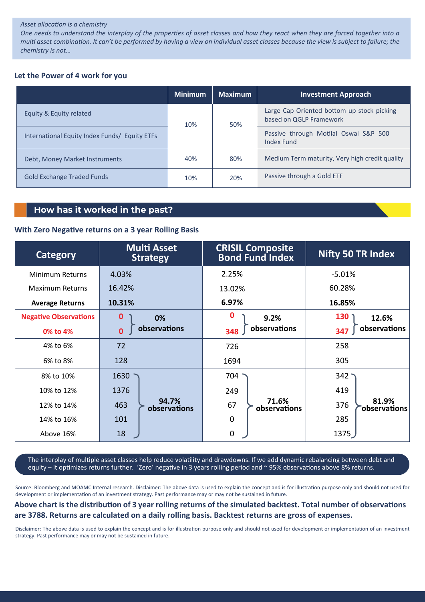#### Asset allocation is a chemistry

One needs to understand the interplay of the properties of asset classes and how they react when they are forced together into a multi asset combination. It can't be performed by having a view on individual asset classes because the view is subject to failure; the chemistry is not...

#### Let the Power of 4 work for you

|                                               | <b>Minimum</b> | <b>Maximum</b> | <b>Investment Approach</b>                                            |
|-----------------------------------------------|----------------|----------------|-----------------------------------------------------------------------|
| Equity & Equity related                       | 10%            | 50%            | Large Cap Oriented bottom up stock picking<br>based on QGLP Framework |
| International Equity Index Funds/ Equity ETFs |                |                | Passive through Motilal Oswal S&P 500<br><b>Index Fund</b>            |
| Debt, Money Market Instruments                | 40%            | 80%            | Medium Term maturity, Very high credit quality                        |
| <b>Gold Exchange Traded Funds</b>             | 10%            | 20%            | Passive through a Gold ETF                                            |

## How has it worked in the past?

#### With Zero Negative returns on a 3 year Rolling Basis

| Category                     | <b>Multi Asset</b><br><b>Strategy</b> | <b>CRISIL Composite</b><br><b>Bond Fund Index</b> | <b>Nifty 50 TR Index</b>     |
|------------------------------|---------------------------------------|---------------------------------------------------|------------------------------|
| Minimum Returns              | 4.03%                                 | 2.25%                                             | $-5.01%$                     |
| <b>Maximum Returns</b>       | 16.42%                                | 13.02%                                            | 60.28%                       |
| <b>Average Returns</b>       | 10.31%                                | 6.97%                                             | 16.85%                       |
| <b>Negative Observations</b> | 0<br>0%                               | 0<br>9.2%                                         | 130<br>12.6%                 |
| 0% to 4%                     | observations<br>$\mathbf{0}$          | observations<br>348                               | observations<br>347          |
| 4% to 6%                     | 72                                    | 726                                               | 258                          |
| 6% to 8%                     | 128                                   | 1694                                              | 305                          |
| 8% to 10%                    | 1630                                  | 704                                               | 342 <sup>1</sup>             |
| 10% to 12%                   | 1376                                  | 249                                               | 419                          |
| 12% to 14%                   | 94.7%<br>463<br>observations          | 71.6%<br>67<br>observations                       | 81.9%<br>376<br>observations |
| 14% to 16%                   | 101                                   | $\mathbf 0$                                       | 285                          |
| Above 16%                    | 18                                    | 0                                                 | 1375                         |

The interplay of multiple asset classes help reduce volatility and drawdowns. If we add dynamic rebalancing between debt and equity - it optimizes returns further. 'Zero' negative in 3 years rolling period and ~95% observations above 8% returns.

Source: Bloomberg and MOAMC Internal research. Disclaimer: The above data is used to explain the concept and is for illustration purpose only and should not used for development or implementation of an investment strategy. Past performance may or may not be sustained in future.

### Above chart is the distribution of 3 year rolling returns of the simulated backtest. Total number of observations are 3788. Returns are calculated on a daily rolling basis. Backtest returns are gross of expenses.

Disclaimer: The above data is used to explain the concept and is for illustration purpose only and should not used for development or implementation of an investment strategy. Past performance may or may not be sustained in future.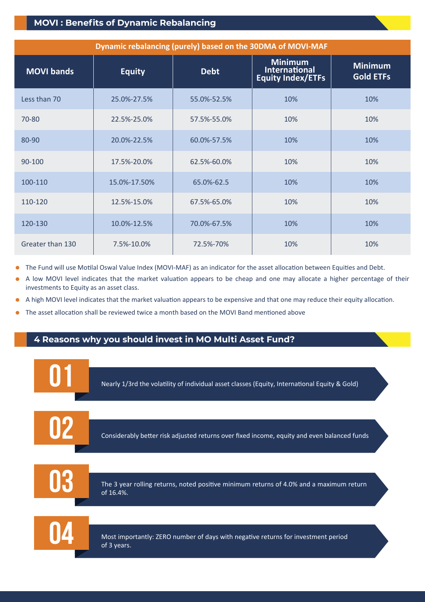## **MOVI : Benefits of Dynamic Rebalancing**

| Dynamic rebalancing (purely) based on the 30DMA of MOVI-MAF |               |             |                                                             |                                    |
|-------------------------------------------------------------|---------------|-------------|-------------------------------------------------------------|------------------------------------|
| <b>MOVI bands</b>                                           | <b>Equity</b> | <b>Debt</b> | <b>Minimum</b><br>International<br><b>Equity Index/ETFs</b> | <b>Minimum</b><br><b>Gold ETFs</b> |
| Less than 70                                                | 25.0%-27.5%   | 55.0%-52.5% | 10%                                                         | 10%                                |
| 70-80                                                       | 22.5%-25.0%   | 57.5%-55.0% | 10%                                                         | 10%                                |
| 80-90                                                       | 20.0%-22.5%   | 60.0%-57.5% | 10%                                                         | 10%                                |
| 90-100                                                      | 17.5%-20.0%   | 62.5%-60.0% | 10%                                                         | 10%                                |
| 100-110                                                     | 15.0%-17.50%  | 65.0%-62.5  | 10%                                                         | 10%                                |
| 110-120                                                     | 12.5%-15.0%   | 67.5%-65.0% | 10%                                                         | 10%                                |
| 120-130                                                     | 10.0%-12.5%   | 70.0%-67.5% | 10%                                                         | 10%                                |
| Greater than 130                                            | 7.5%-10.0%    | 72.5%-70%   | 10%                                                         | 10%                                |

- The Fund will use Motilal Oswal Value Index (MOVI-MAF) as an indicator for the asset allocation between Equities and Debt.  $\bullet$
- A low MOVI level indicates that the market valuation appears to be cheap and one may allocate a higher percentage of their investments to Equity as an asset class.
- A high MOVI level indicates that the market valuation appears to be expensive and that one may reduce their equity allocation.
- The asset allocation shall be reviewed twice a month based on the MOVI Band mentioned above

## **4 Reasons why you should invest in MO Multi Asset Fund?**

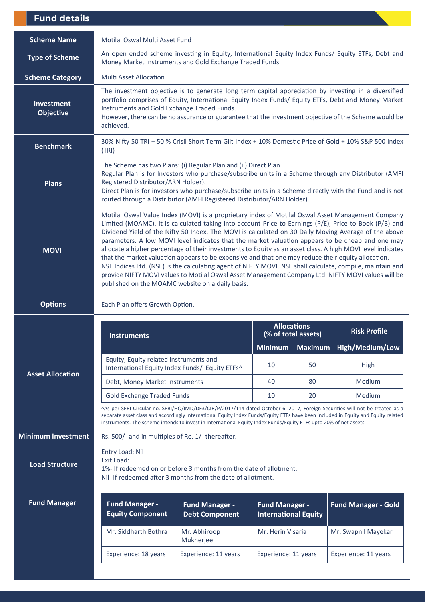| <b>Fund details</b>                   |                                                                                                                                                                                                                                                                                                                                                                                                                                                                                                                                                                                                                                                                                                                                                                                                                                                                                                                    |                                                |                                                      |                     |                            |
|---------------------------------------|--------------------------------------------------------------------------------------------------------------------------------------------------------------------------------------------------------------------------------------------------------------------------------------------------------------------------------------------------------------------------------------------------------------------------------------------------------------------------------------------------------------------------------------------------------------------------------------------------------------------------------------------------------------------------------------------------------------------------------------------------------------------------------------------------------------------------------------------------------------------------------------------------------------------|------------------------------------------------|------------------------------------------------------|---------------------|----------------------------|
| <b>Scheme Name</b>                    | Motilal Oswal Multi Asset Fund                                                                                                                                                                                                                                                                                                                                                                                                                                                                                                                                                                                                                                                                                                                                                                                                                                                                                     |                                                |                                                      |                     |                            |
| <b>Type of Scheme</b>                 | An open ended scheme investing in Equity, International Equity Index Funds/ Equity ETFs, Debt and<br>Money Market Instruments and Gold Exchange Traded Funds                                                                                                                                                                                                                                                                                                                                                                                                                                                                                                                                                                                                                                                                                                                                                       |                                                |                                                      |                     |                            |
| <b>Scheme Category</b>                | <b>Multi Asset Allocation</b>                                                                                                                                                                                                                                                                                                                                                                                                                                                                                                                                                                                                                                                                                                                                                                                                                                                                                      |                                                |                                                      |                     |                            |
| <b>Investment</b><br><b>Objective</b> | The investment objective is to generate long term capital appreciation by investing in a diversified<br>portfolio comprises of Equity, International Equity Index Funds/ Equity ETFs, Debt and Money Market<br>Instruments and Gold Exchange Traded Funds.<br>However, there can be no assurance or guarantee that the investment objective of the Scheme would be<br>achieved.                                                                                                                                                                                                                                                                                                                                                                                                                                                                                                                                    |                                                |                                                      |                     |                            |
| <b>Benchmark</b>                      | 30% Nifty 50 TRI + 50 % Crisil Short Term Gilt Index + 10% Domestic Price of Gold + 10% S&P 500 Index<br>(TRI)                                                                                                                                                                                                                                                                                                                                                                                                                                                                                                                                                                                                                                                                                                                                                                                                     |                                                |                                                      |                     |                            |
| <b>Plans</b>                          | The Scheme has two Plans: (i) Regular Plan and (ii) Direct Plan<br>Regular Plan is for Investors who purchase/subscribe units in a Scheme through any Distributor (AMFI<br>Registered Distributor/ARN Holder).<br>Direct Plan is for investors who purchase/subscribe units in a Scheme directly with the Fund and is not<br>routed through a Distributor (AMFI Registered Distributor/ARN Holder).                                                                                                                                                                                                                                                                                                                                                                                                                                                                                                                |                                                |                                                      |                     |                            |
| <b>MOVI</b>                           | Motilal Oswal Value Index (MOVI) is a proprietary index of Motilal Oswal Asset Management Company<br>Limited (MOAMC). It is calculated taking into account Price to Earnings (P/E), Price to Book (P/B) and<br>Dividend Yield of the Nifty 50 Index. The MOVI is calculated on 30 Daily Moving Average of the above<br>parameters. A low MOVI level indicates that the market valuation appears to be cheap and one may<br>allocate a higher percentage of their investments to Equity as an asset class. A high MOVI level indicates<br>that the market valuation appears to be expensive and that one may reduce their equity allocation.<br>NSE Indices Ltd. (NSE) is the calculating agent of NIFTY MOVI. NSE shall calculate, compile, maintain and<br>provide NIFTY MOVI values to Motilal Oswal Asset Management Company Ltd. NIFTY MOVI values will be<br>published on the MOAMC website on a daily basis. |                                                |                                                      |                     |                            |
| <b>Options</b>                        | Each Plan offers Growth Option.                                                                                                                                                                                                                                                                                                                                                                                                                                                                                                                                                                                                                                                                                                                                                                                                                                                                                    |                                                |                                                      |                     |                            |
|                                       | <b>Instruments</b>                                                                                                                                                                                                                                                                                                                                                                                                                                                                                                                                                                                                                                                                                                                                                                                                                                                                                                 |                                                | <b>Allocations</b>                                   | (% of total assets) | <b>Risk Profile</b>        |
|                                       |                                                                                                                                                                                                                                                                                                                                                                                                                                                                                                                                                                                                                                                                                                                                                                                                                                                                                                                    |                                                | <b>Minimum</b>                                       | <b>Maximum</b>      | High/Medium/Low            |
| <b>Asset Allocation</b>               | Equity, Equity related instruments and<br>International Equity Index Funds/ Equity ETFs^                                                                                                                                                                                                                                                                                                                                                                                                                                                                                                                                                                                                                                                                                                                                                                                                                           |                                                | 10                                                   | 50                  | High                       |
|                                       | Debt, Money Market Instruments                                                                                                                                                                                                                                                                                                                                                                                                                                                                                                                                                                                                                                                                                                                                                                                                                                                                                     |                                                | 40                                                   | 80                  | Medium                     |
|                                       | <b>Gold Exchange Traded Funds</b>                                                                                                                                                                                                                                                                                                                                                                                                                                                                                                                                                                                                                                                                                                                                                                                                                                                                                  |                                                | 10                                                   | 20                  | Medium                     |
|                                       | ^As per SEBI Circular no. SEBI/HO/IMD/DF3/CIR/P/2017/114 dated October 6, 2017, Foreign Securities will not be treated as a<br>separate asset class and accordingly International Equity Index Funds/Equity ETFs have been included in Equity and Equity related<br>instruments. The scheme intends to invest in International Equity Index Funds/Equity ETFs upto 20% of net assets.                                                                                                                                                                                                                                                                                                                                                                                                                                                                                                                              |                                                |                                                      |                     |                            |
| <b>Minimum Investment</b>             | Rs. 500/- and in multiples of Re. 1/- thereafter.                                                                                                                                                                                                                                                                                                                                                                                                                                                                                                                                                                                                                                                                                                                                                                                                                                                                  |                                                |                                                      |                     |                            |
| <b>Load Structure</b>                 | Entry Load: Nil<br>Exit Load:<br>1%- If redeemed on or before 3 months from the date of allotment.<br>Nil- If redeemed after 3 months from the date of allotment.                                                                                                                                                                                                                                                                                                                                                                                                                                                                                                                                                                                                                                                                                                                                                  |                                                |                                                      |                     |                            |
| <b>Fund Manager</b>                   | <b>Fund Manager -</b><br><b>Equity Component</b>                                                                                                                                                                                                                                                                                                                                                                                                                                                                                                                                                                                                                                                                                                                                                                                                                                                                   | <b>Fund Manager -</b><br><b>Debt Component</b> | <b>Fund Manager -</b><br><b>International Equity</b> |                     | <b>Fund Manager - Gold</b> |
|                                       | Mr. Siddharth Bothra                                                                                                                                                                                                                                                                                                                                                                                                                                                                                                                                                                                                                                                                                                                                                                                                                                                                                               | Mr. Abhiroop<br>Mukherjee                      | Mr. Herin Visaria                                    |                     | Mr. Swapnil Mayekar        |
|                                       | Experience: 18 years                                                                                                                                                                                                                                                                                                                                                                                                                                                                                                                                                                                                                                                                                                                                                                                                                                                                                               | Experience: 11 years                           | Experience: 11 years                                 |                     |                            |